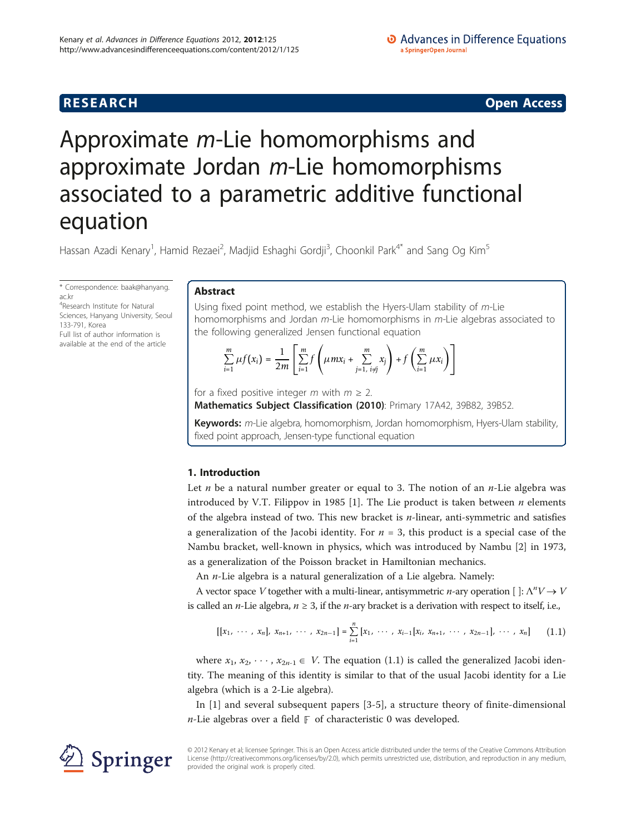**RESEARCH CONSTRUCTION CONSTRUCTS** 

# Approximate m-Lie homomorphisms and approximate Jordan m-Lie homomorphisms associated to a parametric additive functional equation

Hassan Azadi Kenary<sup>1</sup>, Hamid Rezaei<sup>2</sup>, Madjid Eshaghi Gordji<sup>3</sup>, Choonkil Park<sup>4\*</sup> and Sang Og Kim<sup>5</sup>

\* Correspondence: [baak@hanyang.](mailto:baak@hanyang.ac.kr) [ac.kr](mailto:baak@hanyang.ac.kr) 4 Research Institute for Natural Sciences, Hanyang University, Seoul 133-791, Korea Full list of author information is

available at the end of the article

# Abstract

Using fixed point method, we establish the Hyers-Ulam stability of m-Lie homomorphisms and Jordan m-Lie homomorphisms in m-Lie algebras associated to the following generalized Jensen functional equation

$$
\sum_{i=1}^m \mu f(x_i) = \frac{1}{2m} \left[ \sum_{i=1}^m f\left(\mu m x_i + \sum_{j=1, i \neq j}^m x_j\right) + f\left(\sum_{i=1}^m \mu x_i\right) \right]
$$

for a fixed positive integer m with  $m \geq 2$ .

Mathematics Subject Classification (2010): Primary 17A42, 39B82, 39B52.

Keywords: m-Lie algebra, homomorphism, Jordan homomorphism, Hyers-Ulam stability, fixed point approach, Jensen-type functional equation

# 1. Introduction

Let *n* be a natural number greater or equal to 3. The notion of an *n*-Lie algebra was introduced by V.T. Filippov in 1985 [\[1](#page-7-0)]. The Lie product is taken between  $n$  elements of the algebra instead of two. This new bracket is  $n$ -linear, anti-symmetric and satisfies a generalization of the Jacobi identity. For  $n = 3$ , this product is a special case of the Nambu bracket, well-known in physics, which was introduced by Nambu [\[2](#page-7-0)] in 1973, as a generalization of the Poisson bracket in Hamiltonian mechanics.

An  $n$ -Lie algebra is a natural generalization of a Lie algebra. Namely:

A vector space V together with a multi-linear, antisymmetric *n*-ary operation [ $\cdot$ ]:  $\Lambda^n V \rightarrow V$ is called an *n*-Lie algebra,  $n \geq 3$ , if the *n*-ary bracket is a derivation with respect to itself, i.e.,

$$
[[x_1, \cdots, x_n], x_{n+1}, \cdots, x_{2n-1}] = \sum_{i=1}^n [x_1, \cdots, x_{i-1}[x_i, x_{n+1}, \cdots, x_{2n-1}], \cdots, x_n] \qquad (1.1)
$$

where  $x_1, x_2, \dots, x_{2n-1} \in V$ . The equation (1.1) is called the generalized Jacobi identity. The meaning of this identity is similar to that of the usual Jacobi identity for a Lie algebra (which is a 2-Lie algebra).

In [\[1](#page-7-0)] and several subsequent papers [[3-5\]](#page-7-0), a structure theory of finite-dimensional n-Lie algebras over a field **F** of characteristic 0 was developed.



© 2012 Kenary et al; licensee Springer. This is an Open Access article distributed under the terms of the Creative Commons Attribution License [\(http://creativecommons.org/licenses/by/2.0](http://creativecommons.org/licenses/by/2.0)), which permits unrestricted use, distribution, and reproduction in any medium, provided the original work is properly cited.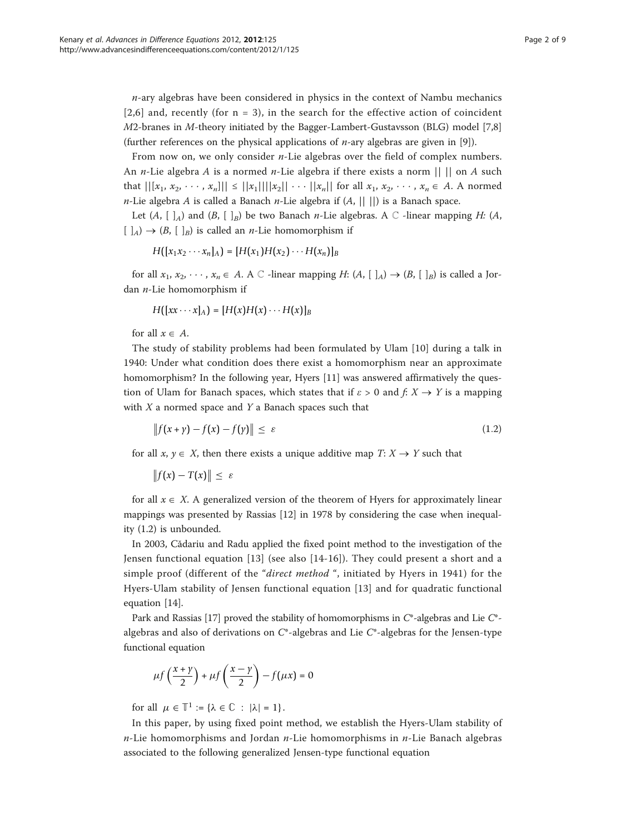$n$ -ary algebras have been considered in physics in the context of Nambu mechanics  $[2,6]$  $[2,6]$  $[2,6]$  $[2,6]$  $[2,6]$  and, recently (for  $n = 3$ ), in the search for the effective action of coincident M2-branes in M-theory initiated by the Bagger-Lambert-Gustavsson (BLG) model [[7](#page-8-0),[8](#page-8-0)] (further references on the physical applications of  $n$ -ary algebras are given in [[9](#page-8-0)]).

From now on, we only consider  $n$ -Lie algebras over the field of complex numbers. An *n*-Lie algebra *A* is a normed *n*-Lie algebra if there exists a norm  $|| \cdot ||$  on *A* such that  $||[x_1, x_2, \dots, x_n]|| \leq ||x_1|| ||x_2|| \dots ||x_n||$  for all  $x_1, x_2, \dots, x_n \in A$ . A normed *n*-Lie algebra *A* is called a Banach *n*-Lie algebra if  $(A, || ||)$  is a Banach space.

Let  $(A, [A, A]$  and  $(B, [B, B])$  be two Banach *n*-Lie algebras. A  $\mathbb C$  -linear mapping *H*:  $(A, [B, B])$  $[ ]_A) \rightarrow (B, [ ]_B)$  is called an *n*-Lie homomorphism if

$$
H([x_1x_2\cdots x_n]_A)=[H(x_1)H(x_2)\cdots H(x_n)]_B
$$

for all  $x_1, x_2, \dots, x_n \in A$ . A  $\mathbb C$  -linear mapping H:  $(A, [\ ]_A) \rightarrow (B, [\ ]_B)$  is called a Jordan  $n$ -Lie homomorphism if

 $H([xx \cdots x]_A) = [H(x)H(x) \cdots H(x)]_B$ 

for all  $x \in A$ .

The study of stability problems had been formulated by Ulam [[10](#page-8-0)] during a talk in 1940: Under what condition does there exist a homomorphism near an approximate homomorphism? In the following year, Hyers [[11](#page-8-0)] was answered affirmatively the question of Ulam for Banach spaces, which states that if  $\varepsilon > 0$  and  $f: X \to Y$  is a mapping with  $X$  a normed space and  $Y$  a Banach spaces such that

$$
||f(x+y)-f(x)-f(y)|| \le \varepsilon \tag{1.2}
$$

for all  $x, y \in X$ , then there exists a unique additive map  $T: X \rightarrow Y$  such that

$$
\|f(x)-T(x)\|\leq \varepsilon
$$

for all  $x \in X$ . A generalized version of the theorem of Hyers for approximately linear mappings was presented by Rassias [\[12](#page-8-0)] in 1978 by considering the case when inequality (1.2) is unbounded.

In 2003, Cădariu and Radu applied the fixed point method to the investigation of the Jensen functional equation [\[13](#page-8-0)] (see also [\[14-16](#page-8-0)]). They could present a short and a simple proof (different of the "direct method ", initiated by Hyers in 1941) for the Hyers-Ulam stability of Jensen functional equation [[13\]](#page-8-0) and for quadratic functional equation [\[14](#page-8-0)].

Park and Rassias [[17](#page-8-0)] proved the stability of homomorphisms in  $C^*$ -algebras and Lie  $C^*$ algebras and also of derivations on  $C^*$ -algebras and Lie  $C^*$ -algebras for the Jensen-type functional equation

$$
\mu f\left(\frac{x+y}{2}\right) + \mu f\left(\frac{x-y}{2}\right) - f(\mu x) = 0
$$

for all  $\mu \in \mathbb{T}^1 := {\lambda \in \mathbb{C} : |\lambda| = 1}.$ 

In this paper, by using fixed point method, we establish the Hyers-Ulam stability of  $n$ -Lie homomorphisms and Jordan  $n$ -Lie homomorphisms in  $n$ -Lie Banach algebras associated to the following generalized Jensen-type functional equation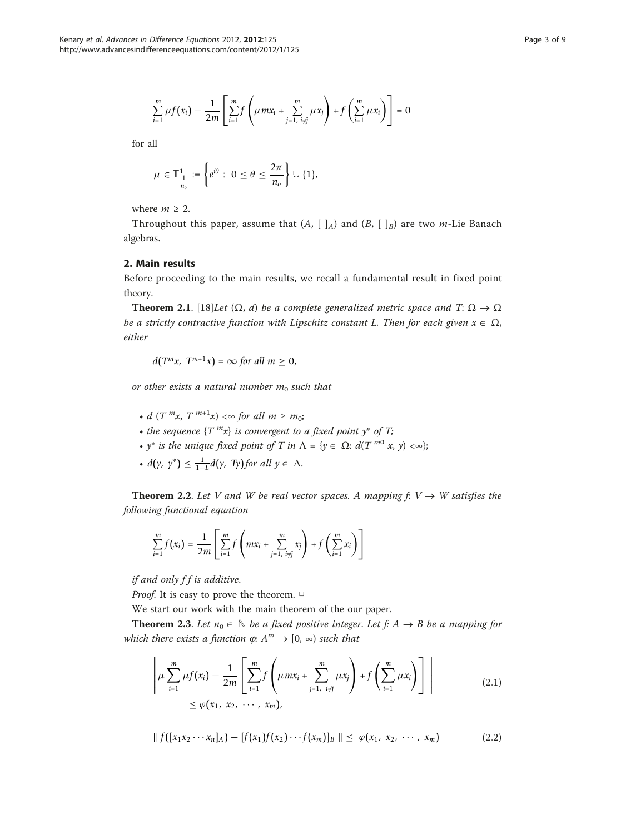$$
\sum_{i=1}^{m} \mu f(x_i) - \frac{1}{2m} \left[ \sum_{i=1}^{m} f\left( \mu m x_i + \sum_{j=1, i \neq j}^{m} \mu x_j \right) + f\left( \sum_{i=1}^{m} \mu x_i \right) \right] = 0
$$

for all

$$
\mu \in \mathbb{T}^1_{\frac{1}{n_o}} := \left\{ e^{i\theta} : 0 \leq \theta \leq \frac{2\pi}{n_o} \right\} \cup \{1\},\
$$

where  $m \geq 2$ .

Throughout this paper, assume that  $(A, [ ]_A)$  and  $(B, [ ]_B)$  are two *m*-Lie Banach algebras.

### 2. Main results

Before proceeding to the main results, we recall a fundamental result in fixed point theory.

**Theorem 2.1.** [[18\]](#page-8-0)Let  $(\Omega, d)$  be a complete generalized metric space and T:  $\Omega \to \Omega$ be a strictly contractive function with Lipschitz constant L. Then for each given  $x \in \Omega$ , either

$$
d(T^m x, T^{m+1} x) = \infty \text{ for all } m \ge 0,
$$

or other exists a natural number  $m_0$  such that

- d  $(T^m x, T^{m+1} x) \ll \infty$  for all  $m \geq m_0$ ;
- the sequence  $\{T^{m}x\}$  is convergent to a fixed point  $y^*$  of T;
- $y^*$  is the unique fixed point of T in  $\Lambda = \{y \in \Omega : d(T^{m0} x, y) < \infty \};$
- $d(y, y^*) \leq \frac{1}{1-L} d(y, Ty)$  for all  $y \in \Lambda$ .

**Theorem 2.2.** Let V and W be real vector spaces. A mapping  $f: V \rightarrow W$  satisfies the following functional equation

$$
\sum_{i=1}^{m} f(x_i) = \frac{1}{2m} \left[ \sum_{i=1}^{m} f\left(mx_i + \sum_{j=1, i \neq j}^{m} x_j\right) + f\left(\sum_{i=1}^{m} x_i\right) \right]
$$

if and only  $ff$  is additive.

*Proof.* It is easy to prove the theorem.  $\Box$ 

We start our work with the main theorem of the our paper.

**Theorem 2.3.** Let  $n_0 \in \mathbb{N}$  be a fixed positive integer. Let f: A  $\rightarrow$  B be a mapping for which there exists a function  $\varphi: A^m \to [0, \infty)$  such that

$$
\left\| \mu \sum_{i=1}^{m} \mu f(x_i) - \frac{1}{2m} \left[ \sum_{i=1}^{m} f\left( \mu m x_i + \sum_{j=1, i \neq j}^{m} \mu x_j \right) + f\left( \sum_{i=1}^{m} \mu x_i \right) \right] \right\|
$$
\n
$$
\leq \varphi(x_1, x_2, \cdots, x_m),
$$
\n(2.1)

$$
\| f([x_1x_2\cdots x_n]_A) - [f(x_1)f(x_2)\cdots f(x_m)]_B \| \leq \varphi(x_1, x_2, \cdots, x_m)
$$
 (2.2)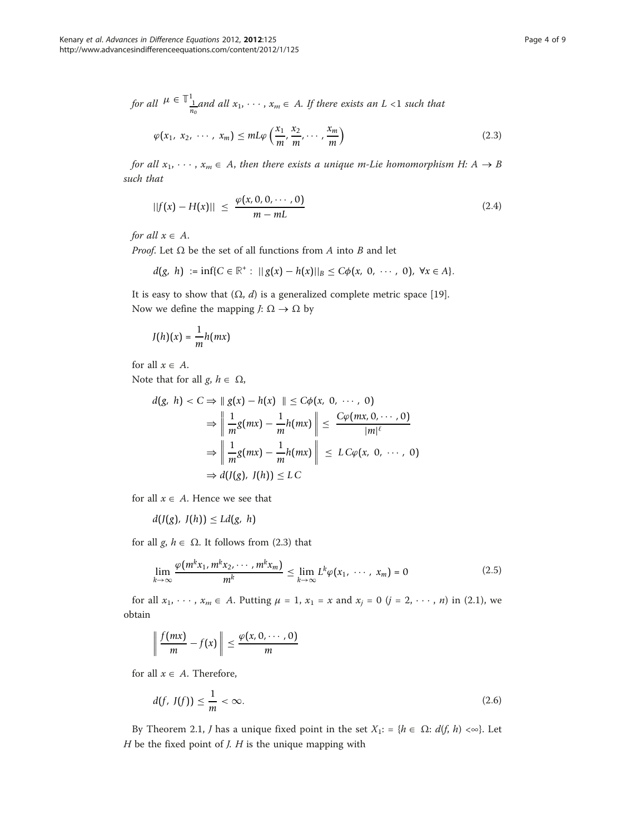for all 
$$
\mu \in \mathbb{T}_{\frac{1}{n_0}}^1
$$
 and all  $x_1, \dots, x_m \in A$ . If there exists an  $L < 1$  such that

$$
\varphi(x_1, x_2, \cdots, x_m) \le mL\varphi\left(\frac{x_1}{m}, \frac{x_2}{m}, \cdots, \frac{x_m}{m}\right) \tag{2.3}
$$

for all  $x_1, \dots, x_m \in A$ , then there exists a unique m-Lie homomorphism H: A  $\rightarrow$  B such that

$$
||f(x) - H(x)|| \leq \frac{\varphi(x, 0, 0, \cdots, 0)}{m - mL}
$$
\n(2.4)

for all  $x \in A$ .

*Proof.* Let  $\Omega$  be the set of all functions from A into B and let

$$
d(g, h) := \inf \{ C \in \mathbb{R}^+ : ||g(x) - h(x)||_B \leq C \phi(x, 0, \cdots, 0), \ \forall x \in A \}.
$$

It is easy to show that  $(\Omega, d)$  is a generalized complete metric space [[19\]](#page-8-0). Now we define the mapping  $J: \Omega \to \Omega$  by

$$
J(h)(x) = \frac{1}{m}h(mx)
$$

for all  $x \in A$ .

Note that for all  $g, h \in \Omega$ ,

$$
d(g, h) < C \Rightarrow \| g(x) - h(x) \| \leq C\phi(x, 0, \cdots, 0)
$$
\n
$$
\Rightarrow \left\| \frac{1}{m} g(mx) - \frac{1}{m} h(mx) \right\| \leq \frac{C\phi(mx, 0, \cdots, 0)}{|m|^\ell}
$$
\n
$$
\Rightarrow \left\| \frac{1}{m} g(mx) - \frac{1}{m} h(mx) \right\| \leq L C\phi(x, 0, \cdots, 0)
$$
\n
$$
\Rightarrow d(J(g), J(h)) \leq L C
$$

for all  $x \in A$ . Hence we see that

 $d(J(g), J(h)) \leq Ld(g, h)$ 

for all *g*,  $h \in \Omega$ . It follows from (2.3) that

$$
\lim_{k \to \infty} \frac{\varphi(m^k x_1, m^k x_2, \cdots, m^k x_m)}{m^k} \leq \lim_{k \to \infty} L^k \varphi(x_1, \cdots, x_m) = 0 \tag{2.5}
$$

for all  $x_1, \dots, x_m \in A$ . Putting  $\mu = 1$ ,  $x_1 = x$  and  $x_j = 0$   $(j = 2, \dots, n)$  in (2.1), we obtain

$$
\left\|\frac{f(mx)}{m}-f(x)\right\|\leq \frac{\varphi(x,0,\cdots,0)}{m}
$$

for all  $x \in A$ . Therefore,

$$
d(f, J(f)) \le \frac{1}{m} < \infty. \tag{2.6}
$$

By Theorem 2.1, *J* has a unique fixed point in the set  $X_1$ : = { $h \in \Omega$ :  $d(f, h) < \infty$ }. Let  $H$  be the fixed point of  $J$ .  $H$  is the unique mapping with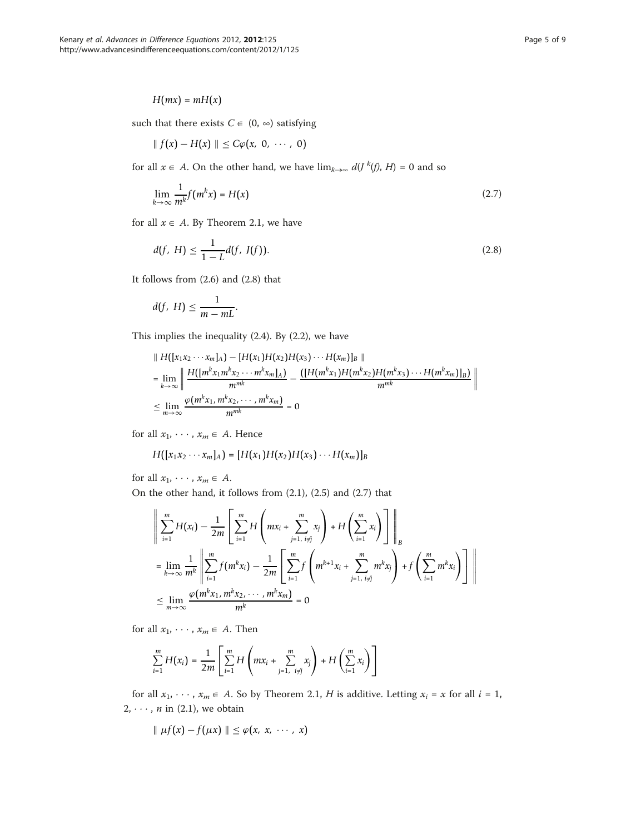## $H(mx) = mH(x)$

such that there exists  $C \in (0, \infty)$  satisfying

$$
\parallel f(x)-H(x)\parallel \leq C\varphi(x, 0, \cdots, 0)
$$

for all  $x \in A$ . On the other hand, we have  $\lim_{k \to \infty} d(J^k(f), H) = 0$  and so

$$
\lim_{k \to \infty} \frac{1}{m^k} f(m^k x) = H(x) \tag{2.7}
$$

for all  $x \in A$ . By Theorem 2.1, we have

$$
d(f, H) \le \frac{1}{1 - L} d(f, J(f)).
$$
\n(2.8)

It follows from (2.6) and (2.8) that

$$
d(f, H) \leq \frac{1}{m - mL}.
$$

This implies the inequality (2.4). By (2.2), we have

$$
\|H([x_1x_2\cdots x_m]_A) - [H(x_1)H(x_2)H(x_3)\cdots H(x_m)]_B\|
$$
  
= 
$$
\lim_{k\to\infty}\left\|\frac{H([m^kx_1m^kx_2\cdots m^kx_m]_A)}{m^{mk}} - \frac{([H(m^kx_1)H(m^kx_2)H(m^kx_3)\cdots H(m^kx_m)]_B)}{m^{mk}}\right\|
$$
  

$$
\leq \lim_{m\to\infty}\frac{\varphi(m^kx_1,m^kx_2\cdots,m^kx_m)}{m^{mk}} = 0
$$

for all  $x_1, \dots, x_m \in A$ . Hence

$$
H([x_1x_2\cdots x_m]_A)=[H(x_1)H(x_2)H(x_3)\cdots H(x_m)]_B
$$

for all  $x_1, \cdots, x_m \in A$ .

On the other hand, it follows from (2.1), (2.5) and (2.7) that

$$
\left\| \sum_{i=1}^{m} H(x_i) - \frac{1}{2m} \left[ \sum_{i=1}^{m} H\left( mx_i + \sum_{j=1, i \neq j}^{m} x_j \right) + H \left( \sum_{i=1}^{m} x_i \right) \right] \right\|_{B}
$$
  
\n
$$
= \lim_{k \to \infty} \frac{1}{m^k} \left\| \sum_{i=1}^{m} f(m^k x_i) - \frac{1}{2m} \left[ \sum_{i=1}^{m} f\left( m^{k+1} x_i + \sum_{j=1, i \neq j}^{m} m^k x_j \right) + f \left( \sum_{i=1}^{m} m^k x_i \right) \right] \right\|
$$
  
\n
$$
\leq \lim_{m \to \infty} \frac{\varphi(m^k x_1, m^k x_2, \dots, m^k x_m)}{m^k} = 0
$$

for all  $x_1, \cdots, x_m \in A$ . Then

$$
\sum_{i=1}^{m} H(x_i) = \frac{1}{2m} \left[ \sum_{i=1}^{m} H\left(mx_i + \sum_{j=1, i \neq j}^{m} x_j\right) + H\left(\sum_{i=1}^{m} x_i\right) \right]
$$

for all  $x_1, \dots, x_m \in A$ . So by Theorem 2.1, H is additive. Letting  $x_i = x$  for all  $i = 1$ , 2,  $\cdots$ , *n* in (2.1), we obtain

$$
\parallel \mu f(x) - f(\mu x) \parallel \leq \varphi(x, x, \cdots, x)
$$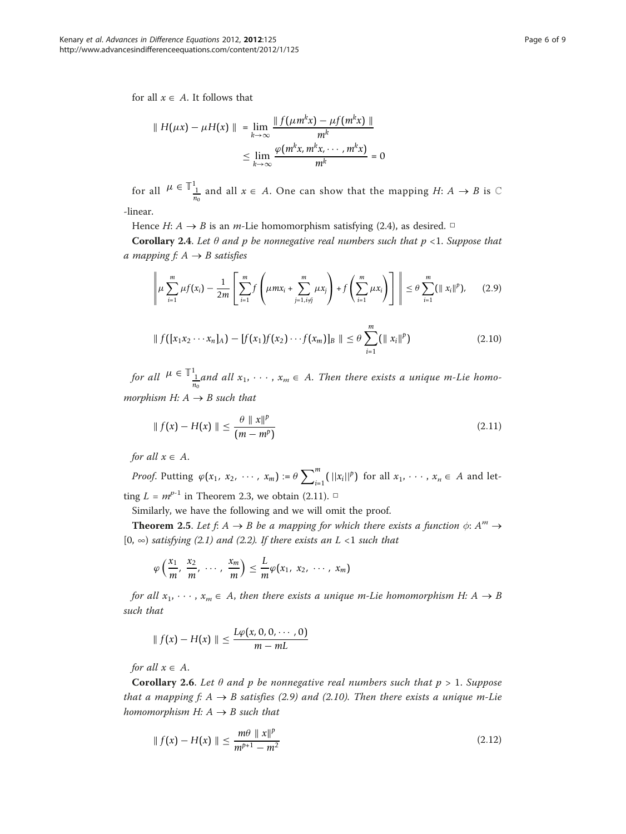for all  $x \in A$ . It follows that

$$
\| H(\mu x) - \mu H(x) \| = \lim_{k \to \infty} \frac{\| f(\mu m^k x) - \mu f(m^k x) \|}{m^k}
$$
  

$$
\leq \lim_{k \to \infty} \frac{\varphi(m^k x, m^k x, \dots, m^k x)}{m^k} = 0
$$

for all  $\mu \in \mathbb{T}_{\frac{1}{n_0}}^1$  and all  $x \in A$ . One can show that the mapping  $H: A \to B$  is  $\mathbb C$ 

-linear.

Hence  $H: A \rightarrow B$  is an *m*-Lie homomorphism satisfying (2.4), as desired. □

**Corollary 2.4.** Let  $\theta$  and  $p$  be nonnegative real numbers such that  $p < 1$ . Suppose that a mapping  $f: A \rightarrow B$  satisfies

$$
\left\| \mu \sum_{i=1}^{m} \mu f(x_i) - \frac{1}{2m} \left[ \sum_{i=1}^{m} f\left( \mu m x_i + \sum_{j=1, i \neq j}^{m} \mu x_j \right) + f\left( \sum_{i=1}^{m} \mu x_i \right) \right] \right\| \leq \theta \sum_{i=1}^{m} (\|x_i\|^p), \quad (2.9)
$$

$$
\| f([x_1x_2\cdots x_n]_A) - [f(x_1)f(x_2)\cdots f(x_m)]_B \| \leq \theta \sum_{i=1}^m (\|x_i\|^p) \tag{2.10}
$$

for all  $\mu \in \mathbb{I}_{\frac{1}{n_0}}^{1}$  and all  $x_1, \cdots, x_m \in A$ . Then there exists a unique m-Lie homomorphism H:  $A \rightarrow B$  such that

$$
\| f(x) - H(x) \| \le \frac{\theta \| x \|^p}{(m - m^p)}
$$
\n(2.11)

for all  $x \in A$ .

*Proof.* Putting  $\varphi(x_1, x_2, \dots, x_m) := \theta \sum_{i=1}^m (||x_i||^p)$  for all  $x_1, \dots, x_n \in A$  and letting  $L = m^{p-1}$  in Theorem 2.3, we obtain (2.11). □

Similarly, we have the following and we will omit the proof.

**Theorem 2.5.** Let  $f: A \rightarrow B$  be a mapping for which there exists a function  $\phi: A^m \rightarrow$ [0,  $\infty$ ) satisfying (2.1) and (2.2). If there exists an L <1 such that

$$
\varphi\left(\frac{x_1}{m},\frac{x_2}{m},\cdots,\frac{x_m}{m}\right)\leq \frac{L}{m}\varphi(x_1,x_2,\cdots,x_m)
$$

for all  $x_1, \dots, x_m \in A$ , then there exists a unique m-Lie homomorphism H:  $A \rightarrow B$ such that

$$
\|f(x)-H(x)\| \leq \frac{L\varphi(x,0,0,\cdots,0)}{m-mL}
$$

for all  $x \in A$ .

**Corollary 2.6.** Let  $\theta$  and  $p$  be nonnegative real numbers such that  $p > 1$ . Suppose that a mapping f:  $A \rightarrow B$  satisfies (2.9) and (2.10). Then there exists a unique m-Lie homomorphism H:  $A \rightarrow B$  such that

$$
\|f(x) - H(x)\| \le \frac{m\theta \, \|x\|^p}{m^{p+1} - m^2} \tag{2.12}
$$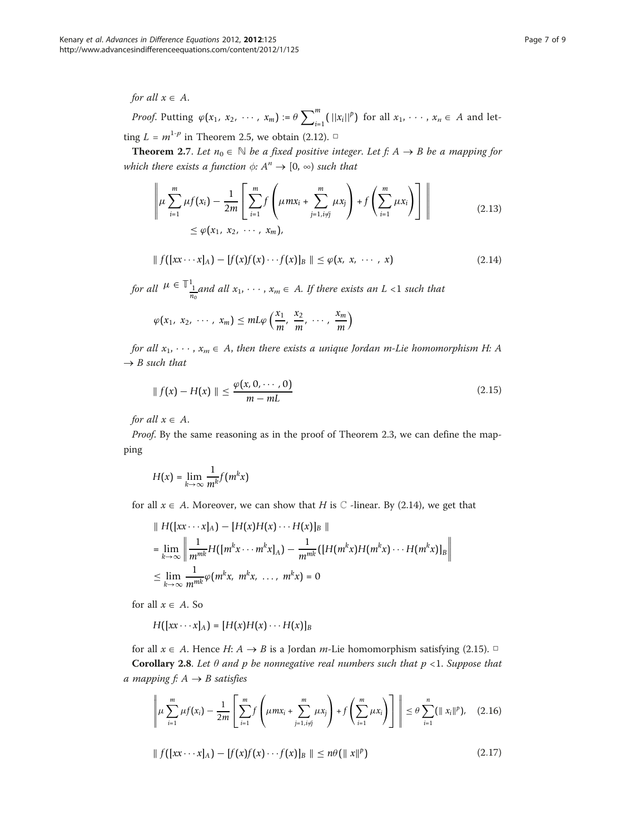## for all  $x \in A$ .

*Proof.* Putting  $\varphi(x_1, x_2, \dots, x_m) := \theta \sum_{i=1}^m (||x_i||^p)$  for all  $x_1, \dots, x_n \in A$  and letting  $L = m^{1-p}$  in Theorem 2.5, we obtain (2.12).  $\Box$ 

**Theorem 2.7.** Let  $n_0 \in \mathbb{N}$  be a fixed positive integer. Let f: A  $\rightarrow$  B be a mapping for which there exists a function  $\phi: A^n \to [0, \infty)$  such that

$$
\left\| \mu \sum_{i=1}^{m} \mu f(x_i) - \frac{1}{2m} \left[ \sum_{i=1}^{m} f \left( \mu m x_i + \sum_{j=1, i \neq j}^{m} \mu x_j \right) + f \left( \sum_{i=1}^{m} \mu x_i \right) \right] \right\|
$$
\n
$$
\leq \varphi(x_1, x_2, \cdots, x_m),
$$
\n(2.13)

$$
|| f([xx \cdots x]_A) - [f(x)f(x) \cdots f(x)]_B || \le \varphi(x, x, \cdots, x)
$$
 (2.14)

for all  $\mu \in \mathbb{T}_{\frac{1}{n_0}}^1$  and all  $x_1, \dots, x_m \in A$ . If there exists an  $L < 1$  such that

$$
\varphi(x_1, x_2, \cdots, x_m) \leq mL\varphi\left(\frac{x_1}{m}, \frac{x_2}{m}, \cdots, \frac{x_m}{m}\right)
$$

for all  $x_1, \dots, x_m \in A$ , then there exists a unique Jordan m-Lie homomorphism H: A  $\rightarrow$  B such that

$$
\| f(x) - H(x) \| \le \frac{\varphi(x, 0, \cdots, 0)}{m - mL}
$$
 (2.15)

for all  $x \in A$ .

Proof. By the same reasoning as in the proof of Theorem 2.3, we can define the mapping

$$
H(x) = \lim_{k \to \infty} \frac{1}{m^k} f(m^k x)
$$

for all  $x \in A$ . Moreover, we can show that H is  $\mathbb C$  -linear. By (2.14), we get that

$$
\|H([xx\cdots x]_A) - [H(x)H(x)\cdots H(x)]_B\|
$$
  
= 
$$
\lim_{k\to\infty} \left\| \frac{1}{m^{mk}} H([m^k x\cdots m^k x]_A) - \frac{1}{m^{mk}} ([H(m^k x)H(m^k x)\cdots H(m^k x)]_B \right\|
$$
  

$$
\leq \lim_{k\to\infty} \frac{1}{m^{mk}} \varphi(m^k x, m^k x, \dots, m^k x) = 0
$$

for all  $x \in A$ . So

$$
H([xx\cdots x]_A)=[H(x)H(x)\cdots H(x)]_B
$$

for all  $x \in A$ . Hence H:  $A \rightarrow B$  is a Jordan *m*-Lie homomorphism satisfying (2.15). □ **Corollary 2.8.** Let  $\theta$  and p be nonnegative real numbers such that  $p < 1$ . Suppose that a mapping  $f: A \rightarrow B$  satisfies

$$
\left\| \mu \sum_{i=1}^{m} \mu f(x_i) - \frac{1}{2m} \left[ \sum_{i=1}^{m} f\left( \mu m x_i + \sum_{j=1, i \neq j}^{m} \mu x_j \right) + f\left( \sum_{i=1}^{m} \mu x_i \right) \right] \right\| \leq \theta \sum_{i=1}^{n} (\|x_i\|^p), \quad (2.16)
$$

$$
\| f([xx \cdots x]_A) - [f(x)f(x) \cdots f(x)]_B \| \le n\theta (\|x\|^p)
$$
\n(2.17)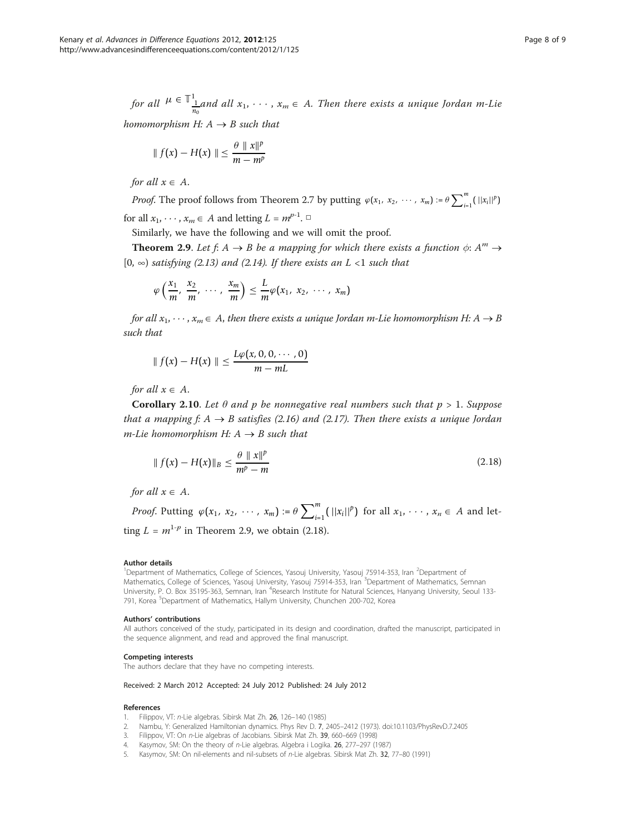<span id="page-7-0"></span>for all  $\mu \in \mathbb{I}_{\frac{1}{n_0}}^{1}$  and all  $x_1, \cdots, x_m \in A$ . Then there exists a unique Jordan m-Lie

homomorphism H:  $A \rightarrow B$  such that

$$
\|f(x)-H(x)\| \leq \frac{\theta \|x\|^p}{m-m^p}
$$

for all  $x \in A$ .

*Proof.* The proof follows from Theorem 2.7 by putting  $\varphi(x_1, x_2, \dots, x_m) := \theta \sum_{i=1}^m (||x_i||^p)$ for all  $x_1, \dots, x_m \in A$  and letting  $L = m^{p-1}$ .

Similarly, we have the following and we will omit the proof.

**Theorem 2.9.** Let f:  $A \rightarrow B$  be a mapping for which there exists a function  $\phi$ :  $A^m \rightarrow$ [0,  $\infty$ ) satisfying (2.13) and (2.14). If there exists an L <1 such that

$$
\varphi\left(\frac{x_1}{m},\frac{x_2}{m},\cdots,\frac{x_m}{m}\right)\leq \frac{L}{m}\varphi(x_1,x_2,\cdots,x_m)
$$

for all  $x_1, \dots, x_m \in A$ , then there exists a unique Jordan m-Lie homomorphism H:  $A \rightarrow B$ such that

$$
\|f(x)-H(x)\| \leq \frac{L\varphi(x,0,0,\cdots,0)}{m-mL}
$$

for all  $x \in A$ .

Corollary 2.10. Let  $\theta$  and p be nonnegative real numbers such that  $p > 1$ . Suppose that a mapping  $f: A \rightarrow B$  satisfies (2.16) and (2.17). Then there exists a unique Jordan  $m$ -Lie homomorphism H:  $A \rightarrow B$  such that

$$
|| f(x) - H(x)||_B \le \frac{\theta \, ||x||^p}{m^p - m}
$$
\n(2.18)

for all  $x \in A$ .

*Proof.* Putting  $\varphi(x_1, x_2, \dots, x_m) := \theta \sum_{i=1}^m (||x_i||^p)$  for all  $x_1, \dots, x_n \in A$  and letting  $L = m^{1-p}$  in Theorem 2.9, we obtain (2.18).

#### Author details

<sup>1</sup>Department of Mathematics, College of Sciences, Yasouj University, Yasouj 75914-353, Iran <sup>2</sup>Department of Mathematics, College of Sciences, Yasouj University, Yasouj 75914-353, Iran <sup>3</sup>Department of Mathematics, Semnan University, P. O. Box 35195-363, Semnan, Iran <sup>4</sup>Research Institute for Natural Sciences, Hanyang University, Seoul 133-791, Korea <sup>5</sup>Department of Mathematics, Hallym University, Chunchen 200-702, Korea

#### Authors' contributions

All authors conceived of the study, participated in its design and coordination, drafted the manuscript, participated in the sequence alignment, and read and approved the final manuscript.

#### Competing interests

The authors declare that they have no competing interests.

#### Received: 2 March 2012 Accepted: 24 July 2012 Published: 24 July 2012

#### References

- 1. Filippov, VT: n-Lie algebras. Sibirsk Mat Zh. 26, 126–140 (1985)
- 2. Nambu, Y: Generalized Hamiltonian dynamics. Phys Rev D. 7, 2405–2412 (1973). doi:10.1103/PhysRevD.7.2405
- 3. Filippov, VT: On n-Lie algebras of Jacobians. Sibirsk Mat Zh. 39, 660–669 (1998)
- Kasymov, SM: On the theory of n-Lie algebras. Algebra i Logika. 26, 277-297 (1987)
- 5. Kasymov, SM: On nil-elements and nil-subsets of n-Lie algebras. Sibirsk Mat Zh. 32, 77–80 (1991)